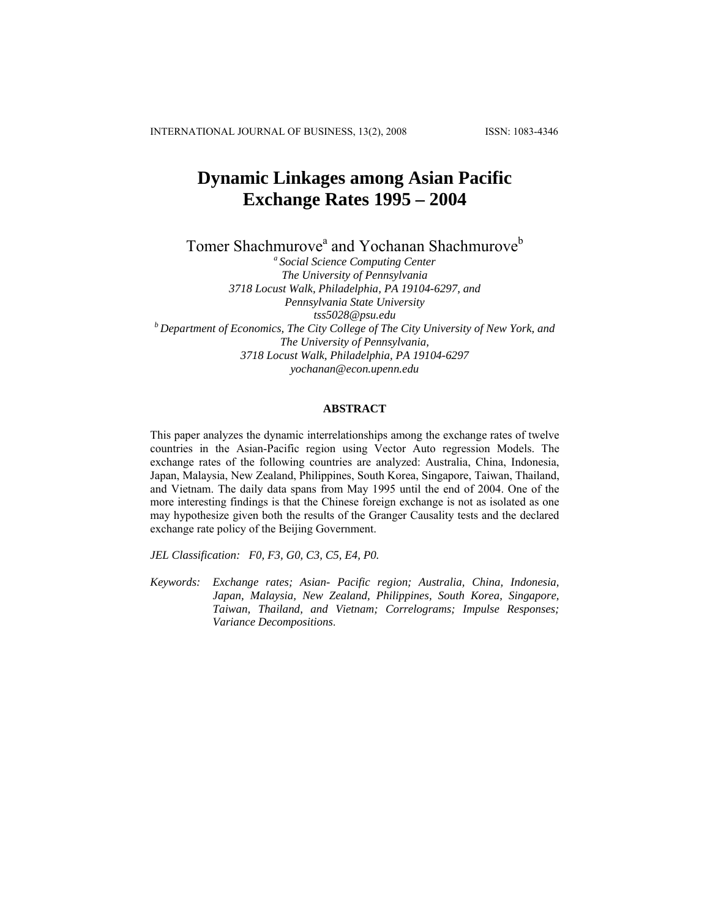INTERNATIONAL JOURNAL OF BUSINESS, 13(2), 2008 ISSN: 1083-4346

# **Dynamic Linkages among Asian Pacific Exchange Rates 1995 – 2004**

Tomer Shachmurove<sup>a</sup> and Yochanan Shachmurove<sup>b</sup>

*a Social Science Computing Center The University of Pennsylvania 3718 Locust Walk, Philadelphia, PA 19104-6297, and Pennsylvania State University tss5028@psu.edu b Department of Economics, The City College of The City University of New York, and The University of Pennsylvania, 3718 Locust Walk, Philadelphia, PA 19104-6297 [yochanan@econ.upenn.edu](mailto:yochanan@econ.upenn.edu)*

# **ABSTRACT**

This paper analyzes the dynamic interrelationships among the exchange rates of twelve countries in the Asian-Pacific region using Vector Auto regression Models. The exchange rates of the following countries are analyzed: Australia, China, Indonesia, Japan, Malaysia, New Zealand, Philippines, South Korea, Singapore, Taiwan, Thailand, and Vietnam. The daily data spans from May 1995 until the end of 2004. One of the more interesting findings is that the Chinese foreign exchange is not as isolated as one may hypothesize given both the results of the Granger Causality tests and the declared exchange rate policy of the Beijing Government.

*JEL Classification: F0, F3, G0, C3, C5, E4, P0.* 

*Keywords: Exchange rates; Asian- Pacific region; Australia, China, Indonesia, Japan, Malaysia, New Zealand, Philippines, South Korea, Singapore, Taiwan, Thailand, and Vietnam; Correlograms; Impulse Responses; Variance Decompositions*.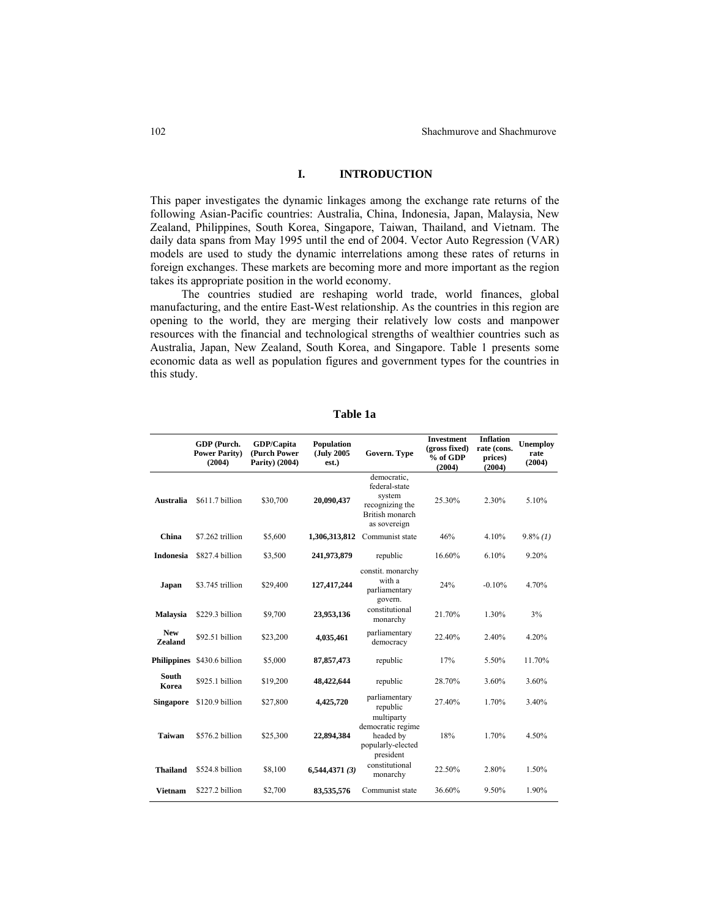# **I. INTRODUCTION**

This paper investigates the dynamic linkages among the exchange rate returns of the following Asian-Pacific countries: Australia, China, Indonesia, Japan, Malaysia, New Zealand, Philippines, South Korea, Singapore, Taiwan, Thailand, and Vietnam. The daily data spans from May 1995 until the end of 2004. Vector Auto Regression (VAR) models are used to study the dynamic interrelations among these rates of returns in foreign exchanges. These markets are becoming more and more important as the region takes its appropriate position in the world economy.

The countries studied are reshaping world trade, world finances, global manufacturing, and the entire East-West relationship. As the countries in this region are opening to the world, they are merging their relatively low costs and manpower resources with the financial and technological strengths of wealthier countries such as Australia, Japan, New Zealand, South Korea, and Singapore. Table 1 presents some economic data as well as population figures and government types for the countries in this study.

|                              | GDP (Purch.<br><b>Power Parity)</b><br>(2004) | GDP/Capita<br>(Purch Power<br>Parity) (2004) | <b>Population</b><br>(July 2005<br>est.) | Govern. Type                                                                                 | <b>Investment</b><br>(gross fixed)<br>% of GDP<br>(2004) | <b>Inflation</b><br>rate (cons.<br>prices)<br>(2004) | Unemploy<br>rate<br>(2004) |
|------------------------------|-----------------------------------------------|----------------------------------------------|------------------------------------------|----------------------------------------------------------------------------------------------|----------------------------------------------------------|------------------------------------------------------|----------------------------|
| <b>Australia</b>             | \$611.7 billion                               | \$30,700                                     | 20,090,437                               | democratic,<br>federal-state<br>system<br>recognizing the<br>British monarch<br>as sovereign | 25.30%                                                   | 2.30%                                                | 5.10%                      |
| China                        | \$7.262 trillion                              | \$5,600                                      | 1,306,313,812                            | Communist state                                                                              | 46%                                                      | 4.10%                                                | $9.8\%$ (1)                |
| <b>Indonesia</b>             | \$827.4 billion                               | \$3,500                                      | 241,973,879                              | republic                                                                                     | 16.60%                                                   | 6.10%                                                | 9.20%                      |
| Japan                        | \$3.745 trillion                              | \$29,400                                     | 127,417,244                              | constit. monarchy<br>with a<br>parliamentary<br>govern.                                      | 24%                                                      | $-0.10%$                                             | 4.70%                      |
| <b>Malaysia</b>              | \$229.3 billion                               | \$9,700                                      | 23,953,136                               | constitutional<br>monarchy                                                                   | 21.70%                                                   | 1.30%                                                | 3%                         |
| <b>New</b><br><b>Zealand</b> | \$92.51 billion                               | \$23,200                                     | 4,035,461                                | parliamentary<br>democracy                                                                   | 22.40%                                                   | 2.40%                                                | 4.20%                      |
|                              | Philippines \$430.6 billion                   | \$5,000                                      | 87, 857, 473                             | republic                                                                                     | 17%                                                      | 5.50%                                                | 11.70%                     |
| South<br>Korea               | \$925.1 billion                               | \$19,200                                     | 48,422,644                               | republic                                                                                     | 28.70%                                                   | 3.60%                                                | 3.60%                      |
| <b>Singapore</b>             | \$120.9 billion                               | \$27,800                                     | 4,425,720                                | parliamentary<br>republic                                                                    | 27.40%                                                   | 1.70%                                                | 3.40%                      |
| <b>Taiwan</b>                | \$576.2 billion                               | \$25,300                                     | 22,894,384                               | multiparty<br>democratic regime<br>headed by<br>popularly-elected<br>president               | 18%                                                      | 1.70%                                                | 4.50%                      |
| <b>Thailand</b>              | \$524.8 billion                               | \$8,100                                      | 6,544,4371(3)                            | constitutional<br>monarchy                                                                   | 22.50%                                                   | 2.80%                                                | 1.50%                      |
| <b>Vietnam</b>               | \$227.2 billion                               | \$2,700                                      | 83,535,576                               | Communist state                                                                              | 36.60%                                                   | 9.50%                                                | 1.90%                      |

**Table 1a**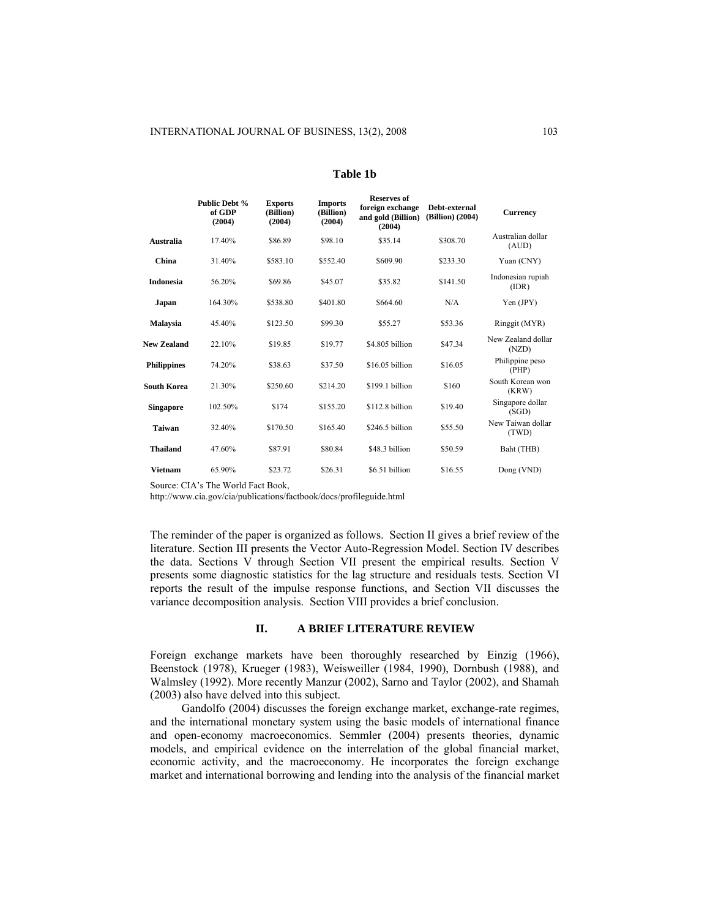|                    | Public Debt %<br>of GDP<br>(2004) | <b>Exports</b><br>(Billion)<br>(2004) | <b>Imports</b><br>(Billion)<br>(2004) | <b>Reserves of</b><br>foreign exchange<br>and gold (Billion)<br>(2004) | Debt-external<br>(Billion) (2004) | <b>Currency</b>             |
|--------------------|-----------------------------------|---------------------------------------|---------------------------------------|------------------------------------------------------------------------|-----------------------------------|-----------------------------|
| Australia          | 17.40%                            | \$86.89                               | \$98.10                               | \$35.14                                                                | \$308.70                          | Australian dollar<br>(AUD)  |
| China              | 31.40%                            | \$583.10                              | \$552.40                              | \$609.90                                                               | \$233.30                          | Yuan (CNY)                  |
| <b>Indonesia</b>   | 56.20%                            | \$69.86                               | \$45.07                               | \$35.82                                                                | \$141.50                          | Indonesian rupiah<br>(IDR)  |
| Japan              | 164.30%                           | \$538.80                              | \$401.80                              | \$664.60                                                               | N/A                               | Yen (JPY)                   |
| <b>Malaysia</b>    | 45.40%                            | \$123.50                              | \$99.30                               | \$55.27                                                                | \$53.36                           | Ringgit (MYR)               |
| New Zealand        | 22.10%                            | \$19.85                               | \$19.77                               | \$4.805 billion                                                        | \$47.34                           | New Zealand dollar<br>(NZD) |
| <b>Philippines</b> | 74.20%                            | \$38.63                               | \$37.50                               | \$16.05 billion                                                        | \$16.05                           | Philippine peso<br>(PHP)    |
| <b>South Korea</b> | 21.30%                            | \$250.60                              | \$214.20                              | \$199.1 billion                                                        | \$160                             | South Korean won<br>(KRW)   |
| <b>Singapore</b>   | 102.50%                           | \$174                                 | \$155.20                              | \$112.8 billion                                                        | \$19.40                           | Singapore dollar<br>(SGD)   |
| <b>Taiwan</b>      | 32.40%                            | \$170.50                              | \$165.40                              | \$246.5 billion                                                        | \$55.50                           | New Taiwan dollar<br>(TWD)  |
| <b>Thailand</b>    | 47.60%                            | \$87.91                               | \$80.84                               | \$48.3 billion                                                         | \$50.59                           | Baht (THB)                  |
| <b>Vietnam</b>     | 65.90%                            | \$23.72                               | \$26.31                               | \$6.51 billion                                                         | \$16.55                           | Dong (VND)                  |

#### **Table 1b**

Source: CIA's The World Fact Book,

http://www.cia.gov/cia/publications/factbook/docs/profileguide.html

The reminder of the paper is organized as follows. Section II gives a brief review of the literature. Section III presents the Vector Auto-Regression Model. Section IV describes the data. Sections V through Section VII present the empirical results. Section V presents some diagnostic statistics for the lag structure and residuals tests. Section VI reports the result of the impulse response functions, and Section VII discusses the variance decomposition analysis. Section VIII provides a brief conclusion.

## **II. A BRIEF LITERATURE REVIEW**

Foreign exchange markets have been thoroughly researched by Einzig (1966), Beenstock (1978), Krueger (1983), Weisweiller (1984, 1990), Dornbush (1988), and Walmsley (1992). More recently Manzur (2002), Sarno and Taylor (2002), and Shamah (2003) also have delved into this subject.

Gandolfo (2004) discusses the foreign exchange market, exchange-rate regimes, and the international monetary system using the basic models of international finance and open-economy macroeconomics. Semmler (2004) presents theories, dynamic models, and empirical evidence on the interrelation of the global financial market, economic activity, and the macroeconomy. He incorporates the foreign exchange market and international borrowing and lending into the analysis of the financial market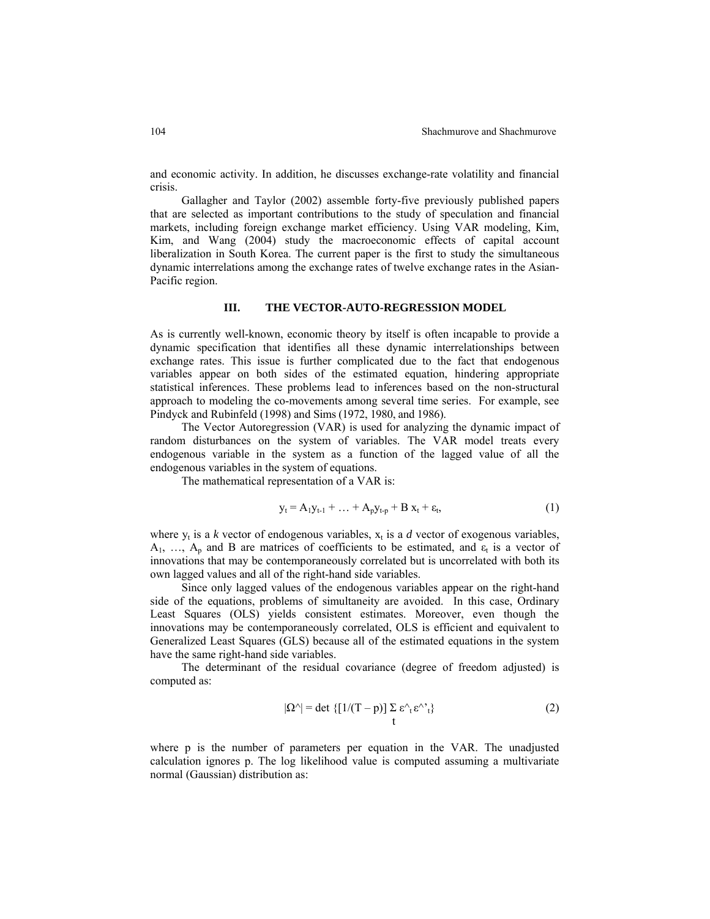and economic activity. In addition, he discusses exchange-rate volatility and financial crisis.

 Gallagher and Taylor (2002) assemble forty-five previously published papers that are selected as important contributions to the study of speculation and financial markets, including foreign exchange market efficiency. Using VAR modeling, Kim, Kim, and Wang (2004) study the macroeconomic effects of capital account liberalization in South Korea. The current paper is the first to study the simultaneous dynamic interrelations among the exchange rates of twelve exchange rates in the Asian-Pacific region.

## **III. THE VECTOR-AUTO-REGRESSION MODEL**

As is currently well-known, economic theory by itself is often incapable to provide a dynamic specification that identifies all these dynamic interrelationships between exchange rates. This issue is further complicated due to the fact that endogenous variables appear on both sides of the estimated equation, hindering appropriate statistical inferences. These problems lead to inferences based on the non-structural approach to modeling the co-movements among several time series. For example, see Pindyck and Rubinfeld (1998) and Sims (1972, 1980, and 1986).

 The Vector Autoregression (VAR) is used for analyzing the dynamic impact of random disturbances on the system of variables. The VAR model treats every endogenous variable in the system as a function of the lagged value of all the endogenous variables in the system of equations.

The mathematical representation of a VAR is:

$$
y_t = A_1 y_{t-1} + \dots + A_p y_{t-p} + B x_t + \varepsilon_t, \tag{1}
$$

where  $y_t$  is a *k* vector of endogenous variables,  $x_t$  is a *d* vector of exogenous variables,  $A_1, \ldots, A_p$  and B are matrices of coefficients to be estimated, and  $\varepsilon_t$  is a vector of innovations that may be contemporaneously correlated but is uncorrelated with both its own lagged values and all of the right-hand side variables.

Since only lagged values of the endogenous variables appear on the right-hand side of the equations, problems of simultaneity are avoided. In this case, Ordinary Least Squares (OLS) yields consistent estimates. Moreover, even though the innovations may be contemporaneously correlated, OLS is efficient and equivalent to Generalized Least Squares (GLS) because all of the estimated equations in the system have the same right-hand side variables.

The determinant of the residual covariance (degree of freedom adjusted) is computed as:

$$
|\Omega^{\wedge}| = \det \{ [1/(T-p)] \sum_{t} \varepsilon^{\wedge}{}_{t} \varepsilon^{\wedge}{}_{t} \}
$$
 (2)

where p is the number of parameters per equation in the VAR. The unadjusted calculation ignores p. The log likelihood value is computed assuming a multivariate normal (Gaussian) distribution as: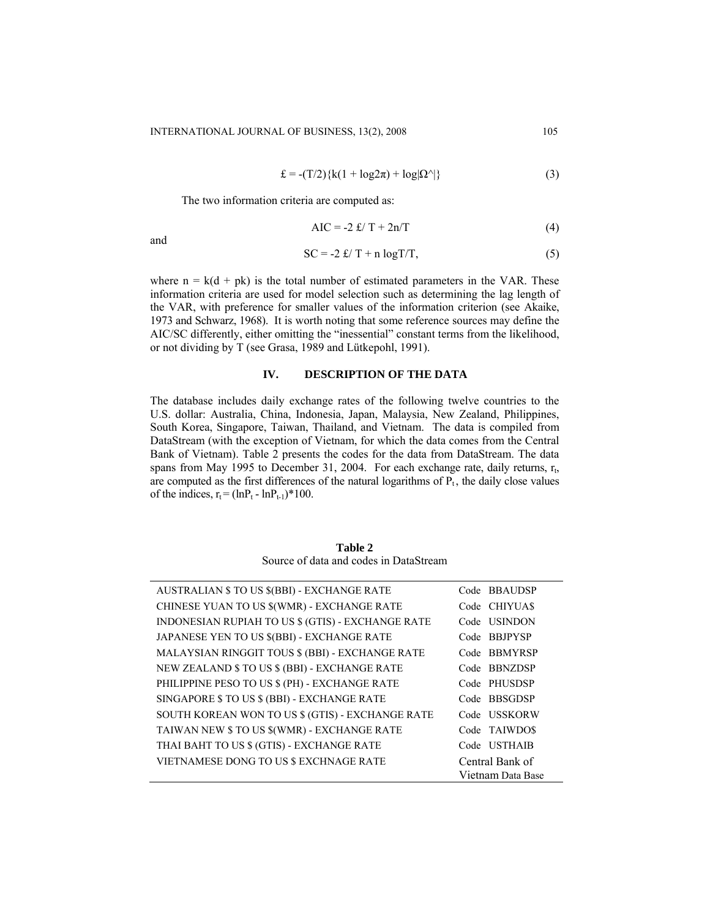$$
\mathbf{E} = -\left(\frac{\mathbf{T}}{2}\right)\left\{\mathbf{k}\left(1 + \log 2\pi\right) + \log |\Omega^{\wedge}|\right\} \tag{3}
$$

The two information criteria are computed as:

$$
AIC = -2 f/T + 2n/T \tag{4}
$$

and

$$
SC = -2 \frac{f}{T} + n \log T/T,
$$
\n(5)

where  $n = k(d + pk)$  is the total number of estimated parameters in the VAR. These information criteria are used for model selection such as determining the lag length of the VAR, with preference for smaller values of the information criterion (see Akaike, 1973 and Schwarz, 1968). It is worth noting that some reference sources may define the AIC/SC differently, either omitting the "inessential" constant terms from the likelihood, or not dividing by T (see Grasa, 1989 and Lütkepohl, 1991).

## **IV. DESCRIPTION OF THE DATA**

The database includes daily exchange rates of the following twelve countries to the U.S. dollar: Australia, China, Indonesia, Japan, Malaysia, New Zealand, Philippines, South Korea, Singapore, Taiwan, Thailand, and Vietnam. The data is compiled from DataStream (with the exception of Vietnam, for which the data comes from the Central Bank of Vietnam). Table 2 presents the codes for the data from DataStream. The data spans from May 1995 to December 31, 2004. For each exchange rate, daily returns,  $r_t$ , are computed as the first differences of the natural logarithms of  $P_t$ , the daily close values of the indices,  $r_t = (\ln P_t - \ln P_{t-1})^*100$ .

**Table 2**  Source of data and codes in DataStream

| AUSTRALIAN \$ TO US \$(BBI) - EXCHANGE RATE       | Code BBAUDSP      |
|---------------------------------------------------|-------------------|
| CHINESE YUAN TO US \$(WMR) - EXCHANGE RATE        | Code CHIYUA\$     |
| INDONESIAN RUPIAH TO US \$ (GTIS) - EXCHANGE RATE | Code USINDON      |
| JAPANESE YEN TO US \$(BBI) - EXCHANGE RATE        | Code BBJPYSP      |
| MALAYSIAN RINGGIT TOUS \$ (BBI) - EXCHANGE RATE   | Code BBMYRSP      |
| NEW ZEALAND \$ TO US \$ (BBI) - EXCHANGE RATE     | Code BBNZDSP      |
| PHILIPPINE PESO TO US \$ (PH) - EXCHANGE RATE     | Code PHUSDSP      |
| SINGAPORE \$ TO US \$ (BBI) - EXCHANGE RATE       | Code BBSGDSP      |
| SOUTH KOREAN WON TO US \$ (GTIS) - EXCHANGE RATE  | Code USSKORW      |
| TAIWAN NEW \$ TO US \$(WMR) - EXCHANGE RATE       | Code TAIWDOS      |
| THAI BAHT TO US \$ (GTIS) - EXCHANGE RATE         | Code USTHAIB      |
| <b>VIETNAMESE DONG TO US \$ EXCHNAGE RATE</b>     | Central Bank of   |
|                                                   | Vietnam Data Base |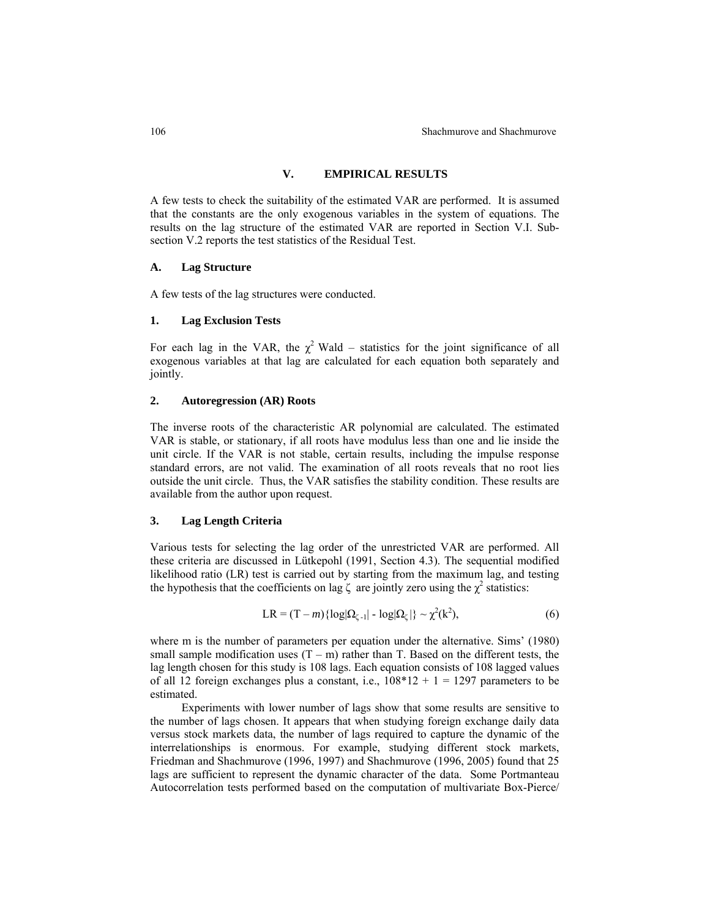106 Shachmurove and Shachmurove

## **V. EMPIRICAL RESULTS**

A few tests to check the suitability of the estimated VAR are performed. It is assumed that the constants are the only exogenous variables in the system of equations. The results on the lag structure of the estimated VAR are reported in Section V.I. Subsection V.2 reports the test statistics of the Residual Test.

#### **A. Lag Structure**

A few tests of the lag structures were conducted.

#### **1. Lag Exclusion Tests**

For each lag in the VAR, the  $\chi^2$  Wald – statistics for the joint significance of all exogenous variables at that lag are calculated for each equation both separately and jointly.

#### **2. Autoregression (AR) Roots**

The inverse roots of the characteristic AR polynomial are calculated. The estimated VAR is stable, or stationary, if all roots have modulus less than one and lie inside the unit circle. If the VAR is not stable, certain results, including the impulse response standard errors, are not valid. The examination of all roots reveals that no root lies outside the unit circle. Thus, the VAR satisfies the stability condition. These results are available from the author upon request.

#### **3. Lag Length Criteria**

Various tests for selecting the lag order of the unrestricted VAR are performed. All these criteria are discussed in Lütkepohl (1991, Section 4.3). The sequential modified likelihood ratio (LR) test is carried out by starting from the maximum lag, and testing the hypothesis that the coefficients on lag  $\zeta$  are jointly zero using the  $\chi^2$  statistics:

$$
LR = (T - m) \{ \log |\Omega_{\zeta - 1}| - \log |\Omega_{\zeta}| \} \sim \chi^2(k^2),
$$
 (6)

where m is the number of parameters per equation under the alternative. Sims' (1980) small sample modification uses  $(T - m)$  rather than T. Based on the different tests, the lag length chosen for this study is 108 lags. Each equation consists of 108 lagged values of all 12 foreign exchanges plus a constant, i.e.,  $108*12 + 1 = 1297$  parameters to be estimated.

Experiments with lower number of lags show that some results are sensitive to the number of lags chosen. It appears that when studying foreign exchange daily data versus stock markets data, the number of lags required to capture the dynamic of the interrelationships is enormous. For example, studying different stock markets, Friedman and Shachmurove (1996, 1997) and Shachmurove (1996, 2005) found that 25 lags are sufficient to represent the dynamic character of the data. Some Portmanteau Autocorrelation tests performed based on the computation of multivariate Box-Pierce/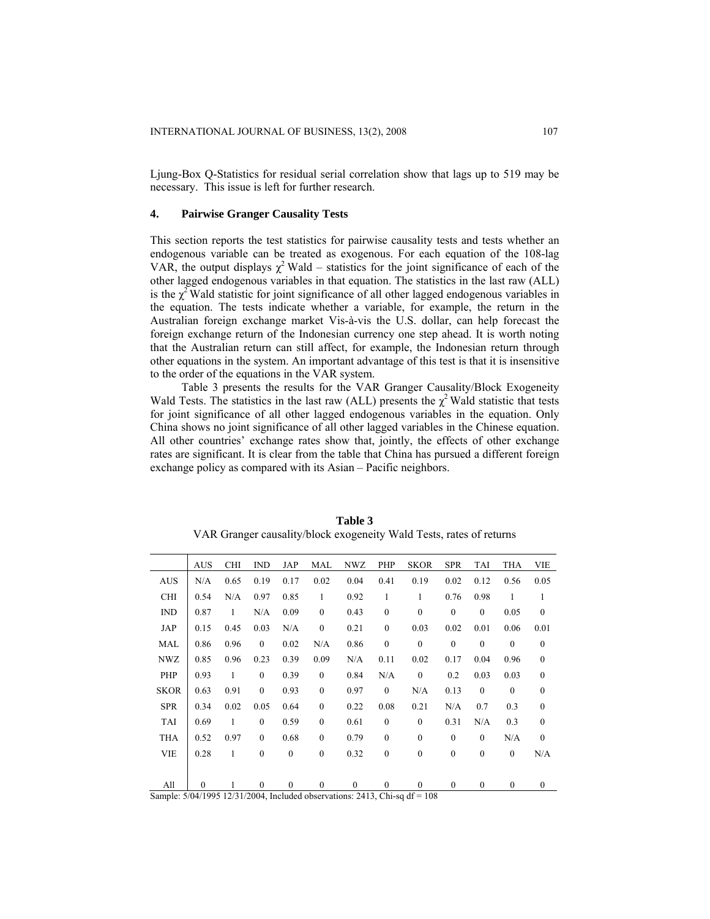Ljung-Box Q-Statistics for residual serial correlation show that lags up to 519 may be necessary. This issue is left for further research.

#### **4. Pairwise Granger Causality Tests**

This section reports the test statistics for pairwise causality tests and tests whether an endogenous variable can be treated as exogenous. For each equation of the 108-lag VAR, the output displays  $\chi^2$  Wald – statistics for the joint significance of each of the other lagged endogenous variables in that equation. The statistics in the last raw (ALL) is the  $\chi^2$  Wald statistic for joint significance of all other lagged endogenous variables in the equation. The tests indicate whether a variable, for example, the return in the Australian foreign exchange market Vis-à-vis the U.S. dollar, can help forecast the foreign exchange return of the Indonesian currency one step ahead. It is worth noting that the Australian return can still affect, for example, the Indonesian return through other equations in the system. An important advantage of this test is that it is insensitive to the order of the equations in the VAR system.

Table 3 presents the results for the VAR Granger Causality/Block Exogeneity Wald Tests. The statistics in the last raw (ALL) presents the  $\chi^2$  Wald statistic that tests for joint significance of all other lagged endogenous variables in the equation. Only China shows no joint significance of all other lagged variables in the Chinese equation. All other countries' exchange rates show that, jointly, the effects of other exchange rates are significant. It is clear from the table that China has pursued a different foreign exchange policy as compared with its Asian – Pacific neighbors.

|             | <b>AUS</b>                                                                                                         | <b>CHI</b>   | <b>IND</b>   | JAP              | <b>MAL</b>       | <b>NWZ</b>   | PHP              | <b>SKOR</b>            | <b>SPR</b>       | TAI          | <b>THA</b>       | <b>VIE</b>       |
|-------------|--------------------------------------------------------------------------------------------------------------------|--------------|--------------|------------------|------------------|--------------|------------------|------------------------|------------------|--------------|------------------|------------------|
| <b>AUS</b>  | N/A                                                                                                                | 0.65         | 0.19         | 0.17             | 0.02             | 0.04         | 0.41             | 0.19                   | 0.02             | 0.12         | 0.56             | 0.05             |
| <b>CHI</b>  | 0.54                                                                                                               | N/A          | 0.97         | 0.85             | $\mathbf{1}$     | 0.92         | 1                | 1                      | 0.76             | 0.98         | 1                | 1                |
| IND         | 0.87                                                                                                               | 1            | N/A          | 0.09             | $\mathbf{0}$     | 0.43         | $\mathbf{0}$     | $\mathbf{0}$           | $\mathbf{0}$     | $\mathbf{0}$ | 0.05             | $\mathbf{0}$     |
| JAP         | 0.15                                                                                                               | 0.45         | 0.03         | N/A              | $\boldsymbol{0}$ | 0.21         | $\boldsymbol{0}$ | 0.03                   | 0.02             | 0.01         | 0.06             | 0.01             |
| MAL         | 0.86                                                                                                               | 0.96         | $\mathbf{0}$ | 0.02             | N/A              | 0.86         | $\boldsymbol{0}$ | $\boldsymbol{0}$       | $\boldsymbol{0}$ | $\mathbf{0}$ | $\boldsymbol{0}$ | $\boldsymbol{0}$ |
| <b>NWZ</b>  | 0.85                                                                                                               | 0.96         | 0.23         | 0.39             | 0.09             | N/A          | 0.11             | 0.02                   | 0.17             | 0.04         | 0.96             | $\mathbf{0}$     |
| PHP         | 0.93                                                                                                               | 1            | $\mathbf{0}$ | 0.39             | $\mathbf{0}$     | 0.84         | N/A              | $\boldsymbol{0}$       | 0.2              | 0.03         | 0.03             | $\mathbf{0}$     |
| <b>SKOR</b> | 0.63                                                                                                               | 0.91         | $\mathbf{0}$ | 0.93             | $\boldsymbol{0}$ | 0.97         | $\boldsymbol{0}$ | N/A                    | 0.13             | $\mathbf{0}$ | $\mathbf{0}$     | $\boldsymbol{0}$ |
| <b>SPR</b>  | 0.34                                                                                                               | 0.02         | 0.05         | 0.64             | $\mathbf{0}$     | 0.22         | 0.08             | 0.21                   | N/A              | 0.7          | 0.3              | $\mathbf{0}$     |
| <b>TAI</b>  | 0.69                                                                                                               | 1            | $\mathbf{0}$ | 0.59             | $\mathbf{0}$     | 0.61         | $\mathbf{0}$     | $\mathbf{0}$           | 0.31             | N/A          | 0.3              | $\mathbf{0}$     |
| THA         | 0.52                                                                                                               | 0.97         | $\mathbf{0}$ | 0.68             | $\mathbf{0}$     | 0.79         | $\mathbf{0}$     | $\mathbf{0}$           | $\mathbf{0}$     | $\mathbf{0}$ | N/A              | $\mathbf{0}$     |
| <b>VIE</b>  | 0.28                                                                                                               | $\mathbf{1}$ | $\mathbf{0}$ | $\mathbf{0}$     | $\mathbf{0}$     | 0.32         | $\mathbf{0}$     | $\mathbf{0}$           | $\mathbf{0}$     | $\mathbf{0}$ | $\theta$         | N/A              |
|             |                                                                                                                    |              |              |                  |                  |              |                  |                        |                  |              |                  |                  |
| All         | $\theta$                                                                                                           | 1            | $\mathbf{0}$ | $\boldsymbol{0}$ | $\mathbf{0}$     | $\mathbf{0}$ | $\mathbf{0}$     | $\theta$               | $\mathbf{0}$     | $\mathbf{0}$ | $\mathbf{0}$     | $\mathbf{0}$     |
| $\sim$      | $F(A)$ $A$ $A$ $A$ $A$ $B$ $B$ $A$ $A$ $A$ $B$ $A$ $A$ $B$ $B$ $A$ $B$ $B$ $B$ $A$ $B$ $B$ $B$ $B$ $C$ $A$ $B$ $B$ |              |              | 1 1 1 1          |                  | 2.112        | $\sim$ $\sim$    | 10 <sup>o</sup><br>100 |                  |              |                  |                  |

**Table 3**  VAR Granger causality/block exogeneity Wald Tests, rates of returns

Sample: 5/04/1995 12/31/2004, Included observations: 2413, Chi-sq df = 108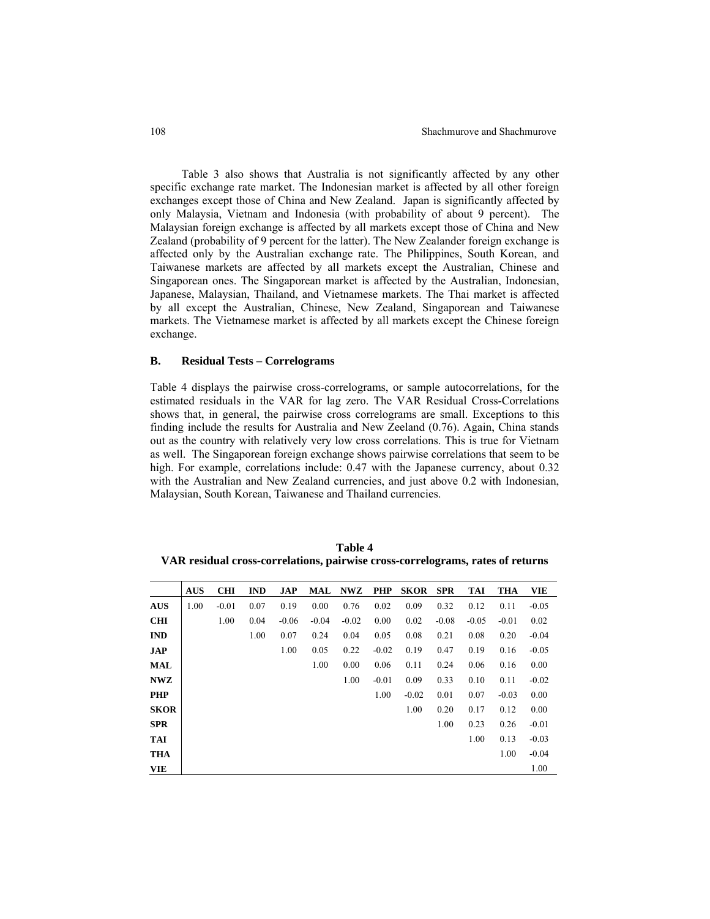Table 3 also shows that Australia is not significantly affected by any other specific exchange rate market. The Indonesian market is affected by all other foreign exchanges except those of China and New Zealand. Japan is significantly affected by only Malaysia, Vietnam and Indonesia (with probability of about 9 percent). The Malaysian foreign exchange is affected by all markets except those of China and New Zealand (probability of 9 percent for the latter). The New Zealander foreign exchange is affected only by the Australian exchange rate. The Philippines, South Korean, and Taiwanese markets are affected by all markets except the Australian, Chinese and Singaporean ones. The Singaporean market is affected by the Australian, Indonesian, Japanese, Malaysian, Thailand, and Vietnamese markets. The Thai market is affected by all except the Australian, Chinese, New Zealand, Singaporean and Taiwanese markets. The Vietnamese market is affected by all markets except the Chinese foreign exchange.

#### **B. Residual Tests – Correlograms**

Table 4 displays the pairwise cross-correlograms, or sample autocorrelations, for the estimated residuals in the VAR for lag zero. The VAR Residual Cross-Correlations shows that, in general, the pairwise cross correlograms are small. Exceptions to this finding include the results for Australia and New Zeeland (0.76). Again, China stands out as the country with relatively very low cross correlations. This is true for Vietnam as well. The Singaporean foreign exchange shows pairwise correlations that seem to be high. For example, correlations include: 0.47 with the Japanese currency, about 0.32 with the Australian and New Zealand currencies, and just above 0.2 with Indonesian, Malaysian, South Korean, Taiwanese and Thailand currencies.

| <b>Table 4</b>                                                                 |
|--------------------------------------------------------------------------------|
| VAR residual cross-correlations, pairwise cross-correlograms, rates of returns |

|             | <b>AUS</b> | <b>CHI</b> | <b>IND</b> | <b>JAP</b> | <b>MAL</b> | <b>NWZ</b> | <b>PHP</b> | <b>SKOR</b> | <b>SPR</b> | <b>TAI</b> | <b>THA</b> | <b>VIE</b> |
|-------------|------------|------------|------------|------------|------------|------------|------------|-------------|------------|------------|------------|------------|
| <b>AUS</b>  | 1.00       | $-0.01$    | 0.07       | 0.19       | 0.00       | 0.76       | 0.02       | 0.09        | 0.32       | 0.12       | 0.11       | $-0.05$    |
| <b>CHI</b>  |            | 1.00       | 0.04       | $-0.06$    | $-0.04$    | $-0.02$    | 0.00       | 0.02        | $-0.08$    | $-0.05$    | $-0.01$    | 0.02       |
| <b>IND</b>  |            |            | 1.00       | 0.07       | 0.24       | 0.04       | 0.05       | 0.08        | 0.21       | 0.08       | 0.20       | $-0.04$    |
| <b>JAP</b>  |            |            |            | 1.00       | 0.05       | 0.22       | $-0.02$    | 0.19        | 0.47       | 0.19       | 0.16       | $-0.05$    |
| <b>MAL</b>  |            |            |            |            | 1.00       | 0.00       | 0.06       | 0.11        | 0.24       | 0.06       | 0.16       | 0.00       |
| <b>NWZ</b>  |            |            |            |            |            | 1.00       | $-0.01$    | 0.09        | 0.33       | 0.10       | 0.11       | $-0.02$    |
| <b>PHP</b>  |            |            |            |            |            |            | 1.00       | $-0.02$     | 0.01       | 0.07       | $-0.03$    | 0.00       |
| <b>SKOR</b> |            |            |            |            |            |            |            | 1.00        | 0.20       | 0.17       | 0.12       | 0.00       |
| <b>SPR</b>  |            |            |            |            |            |            |            |             | 1.00       | 0.23       | 0.26       | $-0.01$    |
| <b>TAI</b>  |            |            |            |            |            |            |            |             |            | 1.00       | 0.13       | $-0.03$    |
| <b>THA</b>  |            |            |            |            |            |            |            |             |            |            | 1.00       | $-0.04$    |
| <b>VIE</b>  |            |            |            |            |            |            |            |             |            |            |            | 1.00       |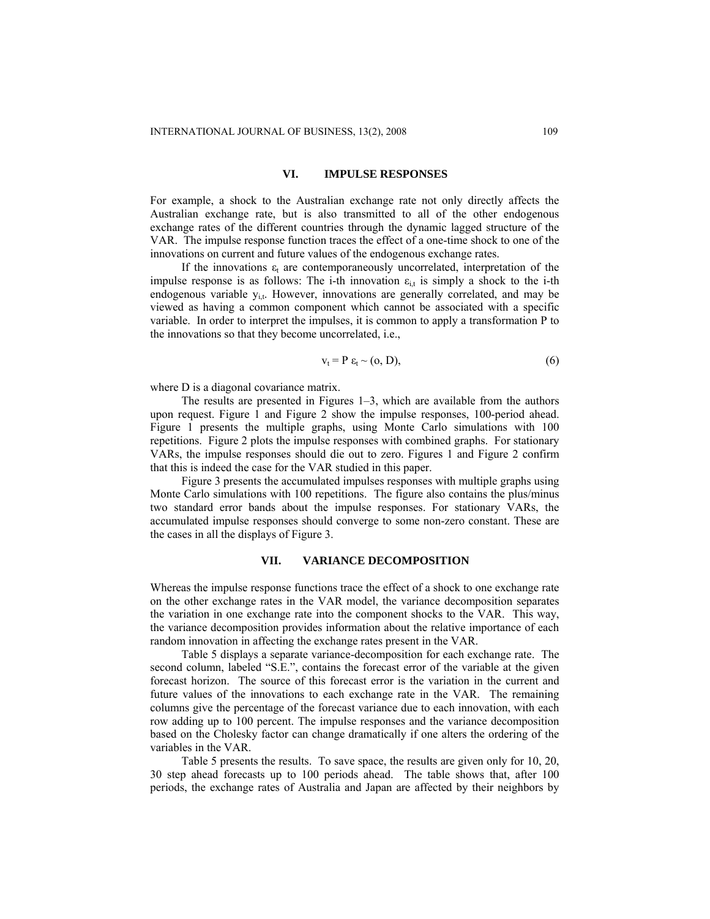#### **VI. IMPULSE RESPONSES**

For example, a shock to the Australian exchange rate not only directly affects the Australian exchange rate, but is also transmitted to all of the other endogenous exchange rates of the different countries through the dynamic lagged structure of the VAR. The impulse response function traces the effect of a one-time shock to one of the innovations on current and future values of the endogenous exchange rates.

If the innovations  $\varepsilon_t$  are contemporaneously uncorrelated, interpretation of the impulse response is as follows: The i-th innovation  $\varepsilon_{i,t}$  is simply a shock to the i-th endogenous variable  $y_{i,t}$ . However, innovations are generally correlated, and may be viewed as having a common component which cannot be associated with a specific variable. In order to interpret the impulses, it is common to apply a transformation P to the innovations so that they become uncorrelated, i.e.,

$$
v_t = P \varepsilon_t \sim (0, D), \tag{6}
$$

where D is a diagonal covariance matrix.

The results are presented in Figures 1–3, which are available from the authors upon request. Figure 1 and Figure 2 show the impulse responses, 100-period ahead. Figure 1 presents the multiple graphs, using Monte Carlo simulations with 100 repetitions. Figure 2 plots the impulse responses with combined graphs. For stationary VARs, the impulse responses should die out to zero. Figures 1 and Figure 2 confirm that this is indeed the case for the VAR studied in this paper.

Figure 3 presents the accumulated impulses responses with multiple graphs using Monte Carlo simulations with 100 repetitions. The figure also contains the plus/minus two standard error bands about the impulse responses. For stationary VARs, the accumulated impulse responses should converge to some non-zero constant. These are the cases in all the displays of Figure 3.

#### **VII. VARIANCE DECOMPOSITION**

Whereas the impulse response functions trace the effect of a shock to one exchange rate on the other exchange rates in the VAR model, the variance decomposition separates the variation in one exchange rate into the component shocks to the VAR. This way, the variance decomposition provides information about the relative importance of each random innovation in affecting the exchange rates present in the VAR.

Table 5 displays a separate variance-decomposition for each exchange rate. The second column, labeled "S.E.", contains the forecast error of the variable at the given forecast horizon. The source of this forecast error is the variation in the current and future values of the innovations to each exchange rate in the VAR. The remaining columns give the percentage of the forecast variance due to each innovation, with each row adding up to 100 percent. The impulse responses and the variance decomposition based on the Cholesky factor can change dramatically if one alters the ordering of the variables in the VAR.

Table 5 presents the results. To save space, the results are given only for 10, 20, 30 step ahead forecasts up to 100 periods ahead. The table shows that, after 100 periods, the exchange rates of Australia and Japan are affected by their neighbors by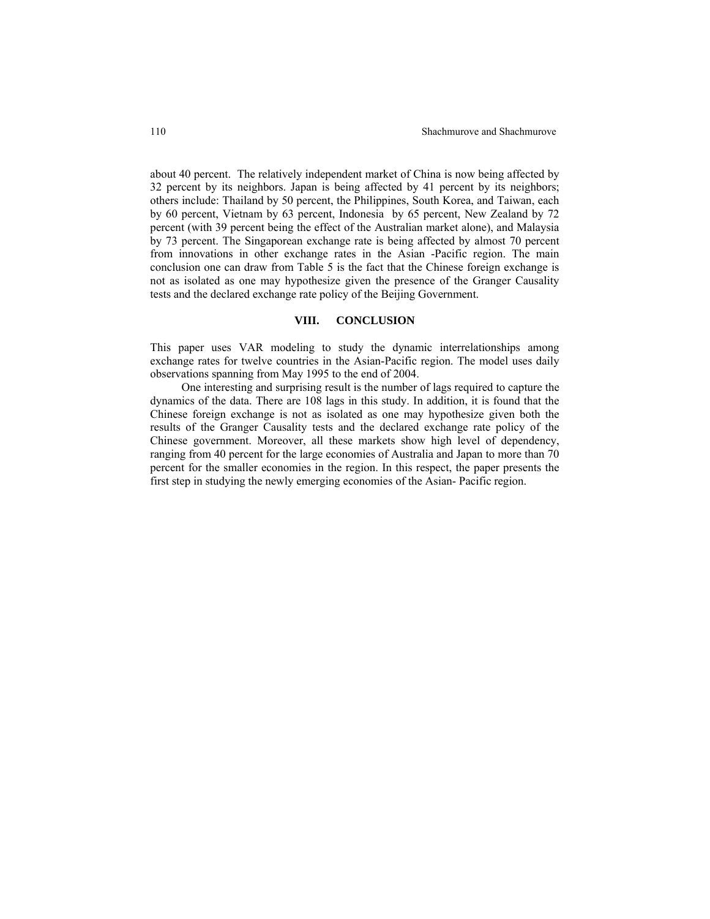about 40 percent. The relatively independent market of China is now being affected by 32 percent by its neighbors. Japan is being affected by 41 percent by its neighbors; others include: Thailand by 50 percent, the Philippines, South Korea, and Taiwan, each by 60 percent, Vietnam by 63 percent, Indonesia by 65 percent, New Zealand by 72 percent (with 39 percent being the effect of the Australian market alone), and Malaysia by 73 percent. The Singaporean exchange rate is being affected by almost 70 percent from innovations in other exchange rates in the Asian -Pacific region. The main conclusion one can draw from Table 5 is the fact that the Chinese foreign exchange is not as isolated as one may hypothesize given the presence of the Granger Causality tests and the declared exchange rate policy of the Beijing Government.

### **VIII. CONCLUSION**

This paper uses VAR modeling to study the dynamic interrelationships among exchange rates for twelve countries in the Asian-Pacific region. The model uses daily observations spanning from May 1995 to the end of 2004.

One interesting and surprising result is the number of lags required to capture the dynamics of the data. There are 108 lags in this study. In addition, it is found that the Chinese foreign exchange is not as isolated as one may hypothesize given both the results of the Granger Causality tests and the declared exchange rate policy of the Chinese government. Moreover, all these markets show high level of dependency, ranging from 40 percent for the large economies of Australia and Japan to more than 70 percent for the smaller economies in the region. In this respect, the paper presents the first step in studying the newly emerging economies of the Asian- Pacific region.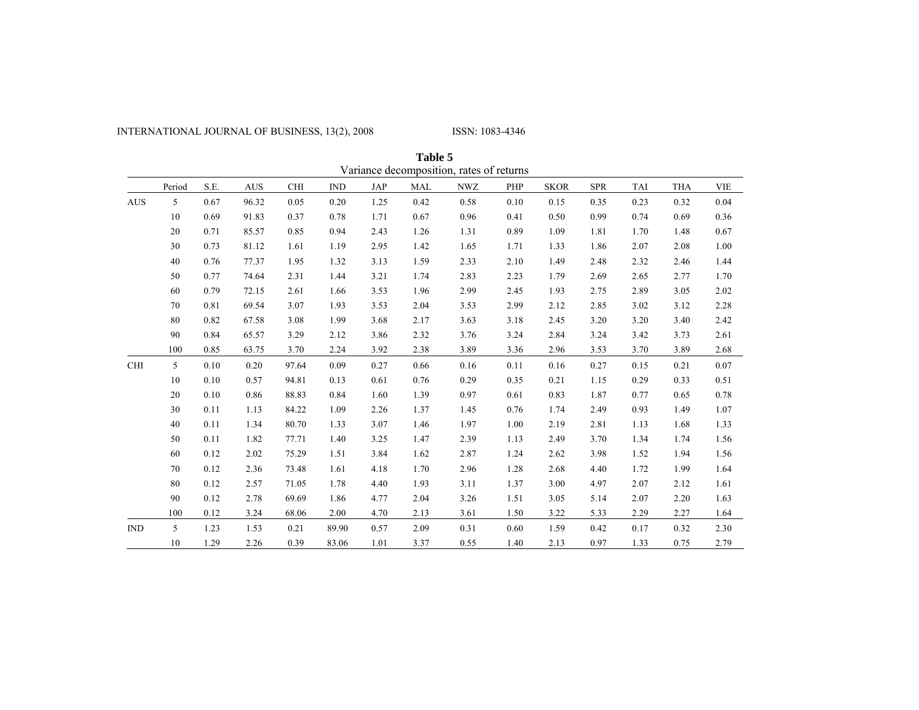# INTERNATIONAL JOURNAL OF BUSINESS, 13(2), 2008 ISSN: 1083-4346

|            |        |      |            |            |       |      | Table 5    |                                          |      |             |            |            |            |            |
|------------|--------|------|------------|------------|-------|------|------------|------------------------------------------|------|-------------|------------|------------|------------|------------|
|            |        |      |            |            |       |      |            | Variance decomposition, rates of returns |      |             |            |            |            |            |
|            | Period | S.E. | <b>AUS</b> | <b>CHI</b> | IND   | JAP  | <b>MAL</b> | <b>NWZ</b>                               | PHP  | <b>SKOR</b> | <b>SPR</b> | <b>TAI</b> | <b>THA</b> | <b>VIE</b> |
| <b>AUS</b> | 5      | 0.67 | 96.32      | 0.05       | 0.20  | 1.25 | 0.42       | 0.58                                     | 0.10 | 0.15        | 0.35       | 0.23       | 0.32       | 0.04       |
|            | 10     | 0.69 | 91.83      | 0.37       | 0.78  | 1.71 | 0.67       | 0.96                                     | 0.41 | 0.50        | 0.99       | 0.74       | 0.69       | 0.36       |
|            | 20     | 0.71 | 85.57      | 0.85       | 0.94  | 2.43 | 1.26       | 1.31                                     | 0.89 | 1.09        | 1.81       | 1.70       | 1.48       | 0.67       |
|            | 30     | 0.73 | 81.12      | 1.61       | 1.19  | 2.95 | 1.42       | 1.65                                     | 1.71 | 1.33        | 1.86       | 2.07       | 2.08       | 1.00       |
|            | 40     | 0.76 | 77.37      | 1.95       | 1.32  | 3.13 | 1.59       | 2.33                                     | 2.10 | 1.49        | 2.48       | 2.32       | 2.46       | 1.44       |
|            | 50     | 0.77 | 74.64      | 2.31       | 1.44  | 3.21 | 1.74       | 2.83                                     | 2.23 | 1.79        | 2.69       | 2.65       | 2.77       | 1.70       |
|            | 60     | 0.79 | 72.15      | 2.61       | 1.66  | 3.53 | 1.96       | 2.99                                     | 2.45 | 1.93        | 2.75       | 2.89       | 3.05       | 2.02       |
|            | 70     | 0.81 | 69.54      | 3.07       | 1.93  | 3.53 | 2.04       | 3.53                                     | 2.99 | 2.12        | 2.85       | 3.02       | 3.12       | 2.28       |
|            | 80     | 0.82 | 67.58      | 3.08       | 1.99  | 3.68 | 2.17       | 3.63                                     | 3.18 | 2.45        | 3.20       | 3.20       | 3.40       | 2.42       |
|            | 90     | 0.84 | 65.57      | 3.29       | 2.12  | 3.86 | 2.32       | 3.76                                     | 3.24 | 2.84        | 3.24       | 3.42       | 3.73       | 2.61       |
|            | 100    | 0.85 | 63.75      | 3.70       | 2.24  | 3.92 | 2.38       | 3.89                                     | 3.36 | 2.96        | 3.53       | 3.70       | 3.89       | 2.68       |
| <b>CHI</b> | 5      | 0.10 | 0.20       | 97.64      | 0.09  | 0.27 | 0.66       | 0.16                                     | 0.11 | 0.16        | 0.27       | 0.15       | 0.21       | 0.07       |
|            | 10     | 0.10 | 0.57       | 94.81      | 0.13  | 0.61 | 0.76       | 0.29                                     | 0.35 | 0.21        | 1.15       | 0.29       | 0.33       | 0.51       |
|            | 20     | 0.10 | 0.86       | 88.83      | 0.84  | 1.60 | 1.39       | 0.97                                     | 0.61 | 0.83        | 1.87       | 0.77       | 0.65       | 0.78       |
|            | 30     | 0.11 | 1.13       | 84.22      | 1.09  | 2.26 | 1.37       | 1.45                                     | 0.76 | 1.74        | 2.49       | 0.93       | 1.49       | 1.07       |
|            | 40     | 0.11 | 1.34       | 80.70      | 1.33  | 3.07 | 1.46       | 1.97                                     | 1.00 | 2.19        | 2.81       | 1.13       | 1.68       | 1.33       |
|            | 50     | 0.11 | 1.82       | 77.71      | 1.40  | 3.25 | 1.47       | 2.39                                     | 1.13 | 2.49        | 3.70       | 1.34       | 1.74       | 1.56       |
|            | 60     | 0.12 | 2.02       | 75.29      | 1.51  | 3.84 | 1.62       | 2.87                                     | 1.24 | 2.62        | 3.98       | 1.52       | 1.94       | 1.56       |
|            | 70     | 0.12 | 2.36       | 73.48      | 1.61  | 4.18 | 1.70       | 2.96                                     | 1.28 | 2.68        | 4.40       | 1.72       | 1.99       | 1.64       |
|            | 80     | 0.12 | 2.57       | 71.05      | 1.78  | 4.40 | 1.93       | 3.11                                     | 1.37 | 3.00        | 4.97       | 2.07       | 2.12       | 1.61       |
|            | 90     | 0.12 | 2.78       | 69.69      | 1.86  | 4.77 | 2.04       | 3.26                                     | 1.51 | 3.05        | 5.14       | 2.07       | 2.20       | 1.63       |
|            | 100    | 0.12 | 3.24       | 68.06      | 2.00  | 4.70 | 2.13       | 3.61                                     | 1.50 | 3.22        | 5.33       | 2.29       | 2.27       | 1.64       |
| <b>IND</b> | 5      | 1.23 | 1.53       | 0.21       | 89.90 | 0.57 | 2.09       | 0.31                                     | 0.60 | 1.59        | 0.42       | 0.17       | 0.32       | 2.30       |
|            | 10     | 1.29 | 2.26       | 0.39       | 83.06 | 1.01 | 3.37       | 0.55                                     | 1.40 | 2.13        | 0.97       | 1.33       | 0.75       | 2.79       |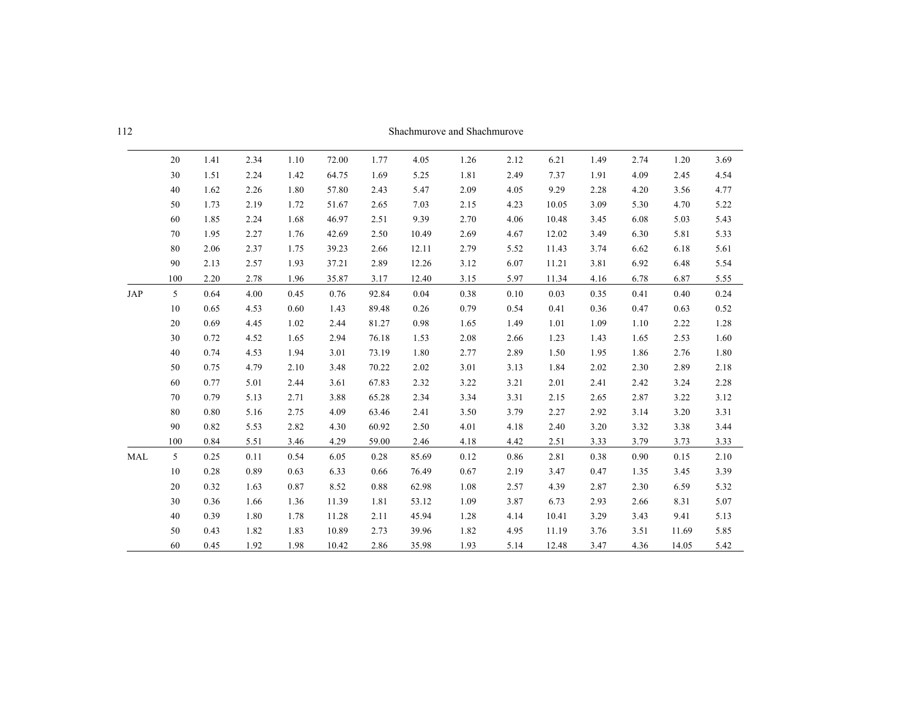| - 112 | Shachmurove and Shachmurove |
|-------|-----------------------------|

|            | 20  | 1.41 | 2.34 | 1.10 | 72.00 | 1.77  | 4.05  | 1.26 | 2.12 | 6.21  | 1.49 | 2.74 | 1.20  | 3.69 |
|------------|-----|------|------|------|-------|-------|-------|------|------|-------|------|------|-------|------|
|            | 30  | 1.51 | 2.24 | 1.42 | 64.75 | 1.69  | 5.25  | 1.81 | 2.49 | 7.37  | 1.91 | 4.09 | 2.45  | 4.54 |
|            | 40  | 1.62 | 2.26 | 1.80 | 57.80 | 2.43  | 5.47  | 2.09 | 4.05 | 9.29  | 2.28 | 4.20 | 3.56  | 4.77 |
|            | 50  | 1.73 | 2.19 | 1.72 | 51.67 | 2.65  | 7.03  | 2.15 | 4.23 | 10.05 | 3.09 | 5.30 | 4.70  | 5.22 |
|            | 60  | 1.85 | 2.24 | 1.68 | 46.97 | 2.51  | 9.39  | 2.70 | 4.06 | 10.48 | 3.45 | 6.08 | 5.03  | 5.43 |
|            | 70  | 1.95 | 2.27 | 1.76 | 42.69 | 2.50  | 10.49 | 2.69 | 4.67 | 12.02 | 3.49 | 6.30 | 5.81  | 5.33 |
|            | 80  | 2.06 | 2.37 | 1.75 | 39.23 | 2.66  | 12.11 | 2.79 | 5.52 | 11.43 | 3.74 | 6.62 | 6.18  | 5.61 |
|            | 90  | 2.13 | 2.57 | 1.93 | 37.21 | 2.89  | 12.26 | 3.12 | 6.07 | 11.21 | 3.81 | 6.92 | 6.48  | 5.54 |
|            | 100 | 2.20 | 2.78 | 1.96 | 35.87 | 3.17  | 12.40 | 3.15 | 5.97 | 11.34 | 4.16 | 6.78 | 6.87  | 5.55 |
| <b>JAP</b> | 5   | 0.64 | 4.00 | 0.45 | 0.76  | 92.84 | 0.04  | 0.38 | 0.10 | 0.03  | 0.35 | 0.41 | 0.40  | 0.24 |
|            | 10  | 0.65 | 4.53 | 0.60 | 1.43  | 89.48 | 0.26  | 0.79 | 0.54 | 0.41  | 0.36 | 0.47 | 0.63  | 0.52 |
|            | 20  | 0.69 | 4.45 | 1.02 | 2.44  | 81.27 | 0.98  | 1.65 | 1.49 | 1.01  | 1.09 | 1.10 | 2.22  | 1.28 |
|            | 30  | 0.72 | 4.52 | 1.65 | 2.94  | 76.18 | 1.53  | 2.08 | 2.66 | 1.23  | 1.43 | 1.65 | 2.53  | 1.60 |
|            | 40  | 0.74 | 4.53 | 1.94 | 3.01  | 73.19 | 1.80  | 2.77 | 2.89 | 1.50  | 1.95 | 1.86 | 2.76  | 1.80 |
|            | 50  | 0.75 | 4.79 | 2.10 | 3.48  | 70.22 | 2.02  | 3.01 | 3.13 | 1.84  | 2.02 | 2.30 | 2.89  | 2.18 |
|            | 60  | 0.77 | 5.01 | 2.44 | 3.61  | 67.83 | 2.32  | 3.22 | 3.21 | 2.01  | 2.41 | 2.42 | 3.24  | 2.28 |
|            | 70  | 0.79 | 5.13 | 2.71 | 3.88  | 65.28 | 2.34  | 3.34 | 3.31 | 2.15  | 2.65 | 2.87 | 3.22  | 3.12 |
|            | 80  | 0.80 | 5.16 | 2.75 | 4.09  | 63.46 | 2.41  | 3.50 | 3.79 | 2.27  | 2.92 | 3.14 | 3.20  | 3.31 |
|            | 90  | 0.82 | 5.53 | 2.82 | 4.30  | 60.92 | 2.50  | 4.01 | 4.18 | 2.40  | 3.20 | 3.32 | 3.38  | 3.44 |
|            | 100 | 0.84 | 5.51 | 3.46 | 4.29  | 59.00 | 2.46  | 4.18 | 4.42 | 2.51  | 3.33 | 3.79 | 3.73  | 3.33 |
| <b>MAL</b> | 5   | 0.25 | 0.11 | 0.54 | 6.05  | 0.28  | 85.69 | 0.12 | 0.86 | 2.81  | 0.38 | 0.90 | 0.15  | 2.10 |
|            | 10  | 0.28 | 0.89 | 0.63 | 6.33  | 0.66  | 76.49 | 0.67 | 2.19 | 3.47  | 0.47 | 1.35 | 3.45  | 3.39 |
|            | 20  | 0.32 | 1.63 | 0.87 | 8.52  | 0.88  | 62.98 | 1.08 | 2.57 | 4.39  | 2.87 | 2.30 | 6.59  | 5.32 |
|            | 30  | 0.36 | 1.66 | 1.36 | 11.39 | 1.81  | 53.12 | 1.09 | 3.87 | 6.73  | 2.93 | 2.66 | 8.31  | 5.07 |
|            | 40  | 0.39 | 1.80 | 1.78 | 11.28 | 2.11  | 45.94 | 1.28 | 4.14 | 10.41 | 3.29 | 3.43 | 9.41  | 5.13 |
|            | 50  | 0.43 | 1.82 | 1.83 | 10.89 | 2.73  | 39.96 | 1.82 | 4.95 | 11.19 | 3.76 | 3.51 | 11.69 | 5.85 |
|            | 60  | 0.45 | 1.92 | 1.98 | 10.42 | 2.86  | 35.98 | 1.93 | 5.14 | 12.48 | 3.47 | 4.36 | 14.05 | 5.42 |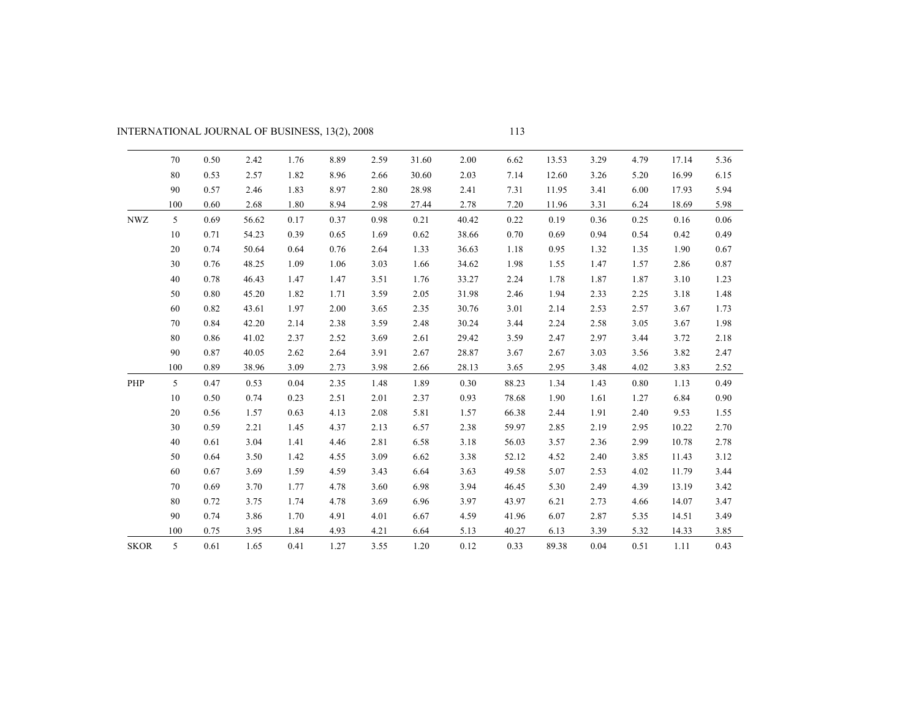| INTERNATIONAL JOURNAL OF BUSINESS, 13(2), 2008 |  |
|------------------------------------------------|--|
|                                                |  |

|             | 70  | 0.50 | 2.42  | 1.76 | 8.89 | 2.59 | 31.60 | 2.00  | 6.62  | 13.53 | 3.29 | 4.79 | 17.14 | 5.36 |
|-------------|-----|------|-------|------|------|------|-------|-------|-------|-------|------|------|-------|------|
|             | 80  | 0.53 | 2.57  | 1.82 | 8.96 | 2.66 | 30.60 | 2.03  | 7.14  | 12.60 | 3.26 | 5.20 | 16.99 | 6.15 |
|             | 90  | 0.57 | 2.46  | 1.83 | 8.97 | 2.80 | 28.98 | 2.41  | 7.31  | 11.95 | 3.41 | 6.00 | 17.93 | 5.94 |
|             | 100 | 0.60 | 2.68  | 1.80 | 8.94 | 2.98 | 27.44 | 2.78  | 7.20  | 11.96 | 3.31 | 6.24 | 18.69 | 5.98 |
| <b>NWZ</b>  | 5   | 0.69 | 56.62 | 0.17 | 0.37 | 0.98 | 0.21  | 40.42 | 0.22  | 0.19  | 0.36 | 0.25 | 0.16  | 0.06 |
|             | 10  | 0.71 | 54.23 | 0.39 | 0.65 | 1.69 | 0.62  | 38.66 | 0.70  | 0.69  | 0.94 | 0.54 | 0.42  | 0.49 |
|             | 20  | 0.74 | 50.64 | 0.64 | 0.76 | 2.64 | 1.33  | 36.63 | 1.18  | 0.95  | 1.32 | 1.35 | 1.90  | 0.67 |
|             | 30  | 0.76 | 48.25 | 1.09 | 1.06 | 3.03 | 1.66  | 34.62 | 1.98  | 1.55  | 1.47 | 1.57 | 2.86  | 0.87 |
|             | 40  | 0.78 | 46.43 | 1.47 | 1.47 | 3.51 | 1.76  | 33.27 | 2.24  | 1.78  | 1.87 | 1.87 | 3.10  | 1.23 |
|             | 50  | 0.80 | 45.20 | 1.82 | 1.71 | 3.59 | 2.05  | 31.98 | 2.46  | 1.94  | 2.33 | 2.25 | 3.18  | 1.48 |
|             | 60  | 0.82 | 43.61 | 1.97 | 2.00 | 3.65 | 2.35  | 30.76 | 3.01  | 2.14  | 2.53 | 2.57 | 3.67  | 1.73 |
|             | 70  | 0.84 | 42.20 | 2.14 | 2.38 | 3.59 | 2.48  | 30.24 | 3.44  | 2.24  | 2.58 | 3.05 | 3.67  | 1.98 |
|             | 80  | 0.86 | 41.02 | 2.37 | 2.52 | 3.69 | 2.61  | 29.42 | 3.59  | 2.47  | 2.97 | 3.44 | 3.72  | 2.18 |
|             | 90  | 0.87 | 40.05 | 2.62 | 2.64 | 3.91 | 2.67  | 28.87 | 3.67  | 2.67  | 3.03 | 3.56 | 3.82  | 2.47 |
|             | 100 | 0.89 | 38.96 | 3.09 | 2.73 | 3.98 | 2.66  | 28.13 | 3.65  | 2.95  | 3.48 | 4.02 | 3.83  | 2.52 |
| PHP         | 5   | 0.47 | 0.53  | 0.04 | 2.35 | 1.48 | 1.89  | 0.30  | 88.23 | 1.34  | 1.43 | 0.80 | 1.13  | 0.49 |
|             | 10  | 0.50 | 0.74  | 0.23 | 2.51 | 2.01 | 2.37  | 0.93  | 78.68 | 1.90  | 1.61 | 1.27 | 6.84  | 0.90 |
|             | 20  | 0.56 | 1.57  | 0.63 | 4.13 | 2.08 | 5.81  | 1.57  | 66.38 | 2.44  | 1.91 | 2.40 | 9.53  | 1.55 |
|             | 30  | 0.59 | 2.21  | 1.45 | 4.37 | 2.13 | 6.57  | 2.38  | 59.97 | 2.85  | 2.19 | 2.95 | 10.22 | 2.70 |
|             | 40  | 0.61 | 3.04  | 1.41 | 4.46 | 2.81 | 6.58  | 3.18  | 56.03 | 3.57  | 2.36 | 2.99 | 10.78 | 2.78 |
|             | 50  | 0.64 | 3.50  | 1.42 | 4.55 | 3.09 | 6.62  | 3.38  | 52.12 | 4.52  | 2.40 | 3.85 | 11.43 | 3.12 |
|             | 60  | 0.67 | 3.69  | 1.59 | 4.59 | 3.43 | 6.64  | 3.63  | 49.58 | 5.07  | 2.53 | 4.02 | 11.79 | 3.44 |
|             | 70  | 0.69 | 3.70  | 1.77 | 4.78 | 3.60 | 6.98  | 3.94  | 46.45 | 5.30  | 2.49 | 4.39 | 13.19 | 3.42 |
|             | 80  | 0.72 | 3.75  | 1.74 | 4.78 | 3.69 | 6.96  | 3.97  | 43.97 | 6.21  | 2.73 | 4.66 | 14.07 | 3.47 |
|             | 90  | 0.74 | 3.86  | 1.70 | 4.91 | 4.01 | 6.67  | 4.59  | 41.96 | 6.07  | 2.87 | 5.35 | 14.51 | 3.49 |
|             | 100 | 0.75 | 3.95  | 1.84 | 4.93 | 4.21 | 6.64  | 5.13  | 40.27 | 6.13  | 3.39 | 5.32 | 14.33 | 3.85 |
| <b>SKOR</b> | 5   | 0.61 | 1.65  | 0.41 | 1.27 | 3.55 | 1.20  | 0.12  | 0.33  | 89.38 | 0.04 | 0.51 | 1.11  | 0.43 |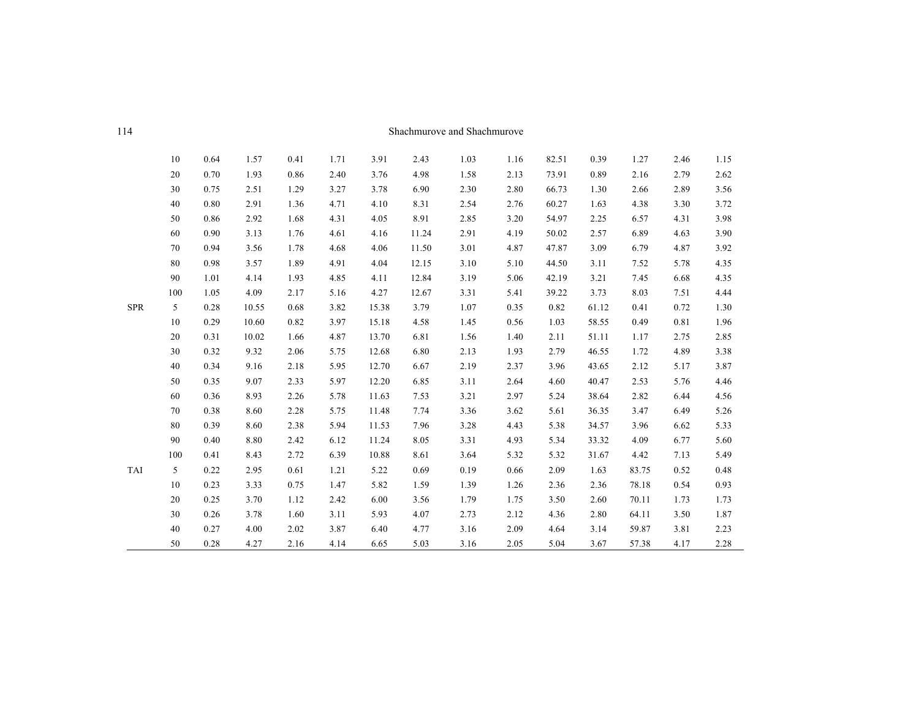| - 114 | Shachmurove and Shachmurove |
|-------|-----------------------------|

|            | 10  | 0.64 | 1.57  | 0.41 | 1.71 | 3.91  | 2.43  | 1.03 | 1.16 | 82.51 | 0.39  | 1.27  | 2.46 | 1.15     |
|------------|-----|------|-------|------|------|-------|-------|------|------|-------|-------|-------|------|----------|
|            | 20  | 0.70 | 1.93  | 0.86 | 2.40 | 3.76  | 4.98  | 1.58 | 2.13 | 73.91 | 0.89  | 2.16  | 2.79 | 2.62     |
|            | 30  | 0.75 | 2.51  | 1.29 | 3.27 | 3.78  | 6.90  | 2.30 | 2.80 | 66.73 | 1.30  | 2.66  | 2.89 | 3.56     |
|            | 40  | 0.80 | 2.91  | 1.36 | 4.71 | 4.10  | 8.31  | 2.54 | 2.76 | 60.27 | 1.63  | 4.38  | 3.30 | 3.72     |
|            | 50  | 0.86 | 2.92  | 1.68 | 4.31 | 4.05  | 8.91  | 2.85 | 3.20 | 54.97 | 2.25  | 6.57  | 4.31 | 3.98     |
|            | 60  | 0.90 | 3.13  | 1.76 | 4.61 | 4.16  | 11.24 | 2.91 | 4.19 | 50.02 | 2.57  | 6.89  | 4.63 | 3.90     |
|            | 70  | 0.94 | 3.56  | 1.78 | 4.68 | 4.06  | 11.50 | 3.01 | 4.87 | 47.87 | 3.09  | 6.79  | 4.87 | 3.92     |
|            | 80  | 0.98 | 3.57  | 1.89 | 4.91 | 4.04  | 12.15 | 3.10 | 5.10 | 44.50 | 3.11  | 7.52  | 5.78 | 4.35     |
|            | 90  | 1.01 | 4.14  | 1.93 | 4.85 | 4.11  | 12.84 | 3.19 | 5.06 | 42.19 | 3.21  | 7.45  | 6.68 | 4.35     |
|            | 100 | 1.05 | 4.09  | 2.17 | 5.16 | 4.27  | 12.67 | 3.31 | 5.41 | 39.22 | 3.73  | 8.03  | 7.51 | 4.44     |
| <b>SPR</b> | 5   | 0.28 | 10.55 | 0.68 | 3.82 | 15.38 | 3.79  | 1.07 | 0.35 | 0.82  | 61.12 | 0.41  | 0.72 | 1.30     |
|            | 10  | 0.29 | 10.60 | 0.82 | 3.97 | 15.18 | 4.58  | 1.45 | 0.56 | 1.03  | 58.55 | 0.49  | 0.81 | 1.96     |
|            | 20  | 0.31 | 10.02 | 1.66 | 4.87 | 13.70 | 6.81  | 1.56 | 1.40 | 2.11  | 51.11 | 1.17  | 2.75 | 2.85     |
|            | 30  | 0.32 | 9.32  | 2.06 | 5.75 | 12.68 | 6.80  | 2.13 | 1.93 | 2.79  | 46.55 | 1.72  | 4.89 | 3.38     |
|            | 40  | 0.34 | 9.16  | 2.18 | 5.95 | 12.70 | 6.67  | 2.19 | 2.37 | 3.96  | 43.65 | 2.12  | 5.17 | 3.87     |
|            | 50  | 0.35 | 9.07  | 2.33 | 5.97 | 12.20 | 6.85  | 3.11 | 2.64 | 4.60  | 40.47 | 2.53  | 5.76 | 4.46     |
|            | 60  | 0.36 | 8.93  | 2.26 | 5.78 | 11.63 | 7.53  | 3.21 | 2.97 | 5.24  | 38.64 | 2.82  | 6.44 | 4.56     |
|            | 70  | 0.38 | 8.60  | 2.28 | 5.75 | 11.48 | 7.74  | 3.36 | 3.62 | 5.61  | 36.35 | 3.47  | 6.49 | 5.26     |
|            | 80  | 0.39 | 8.60  | 2.38 | 5.94 | 11.53 | 7.96  | 3.28 | 4.43 | 5.38  | 34.57 | 3.96  | 6.62 | 5.33     |
|            | 90  | 0.40 | 8.80  | 2.42 | 6.12 | 11.24 | 8.05  | 3.31 | 4.93 | 5.34  | 33.32 | 4.09  | 6.77 | 5.60     |
|            | 100 | 0.41 | 8.43  | 2.72 | 6.39 | 10.88 | 8.61  | 3.64 | 5.32 | 5.32  | 31.67 | 4.42  | 7.13 | 5.49     |
| <b>TAI</b> | 5   | 0.22 | 2.95  | 0.61 | 1.21 | 5.22  | 0.69  | 0.19 | 0.66 | 2.09  | 1.63  | 83.75 | 0.52 | $0.48\,$ |
|            | 10  | 0.23 | 3.33  | 0.75 | 1.47 | 5.82  | 1.59  | 1.39 | 1.26 | 2.36  | 2.36  | 78.18 | 0.54 | 0.93     |
|            | 20  | 0.25 | 3.70  | 1.12 | 2.42 | 6.00  | 3.56  | 1.79 | 1.75 | 3.50  | 2.60  | 70.11 | 1.73 | 1.73     |
|            | 30  | 0.26 | 3.78  | 1.60 | 3.11 | 5.93  | 4.07  | 2.73 | 2.12 | 4.36  | 2.80  | 64.11 | 3.50 | 1.87     |
|            | 40  | 0.27 | 4.00  | 2.02 | 3.87 | 6.40  | 4.77  | 3.16 | 2.09 | 4.64  | 3.14  | 59.87 | 3.81 | 2.23     |
|            | 50  | 0.28 | 4.27  | 2.16 | 4.14 | 6.65  | 5.03  | 3.16 | 2.05 | 5.04  | 3.67  | 57.38 | 4.17 | 2.28     |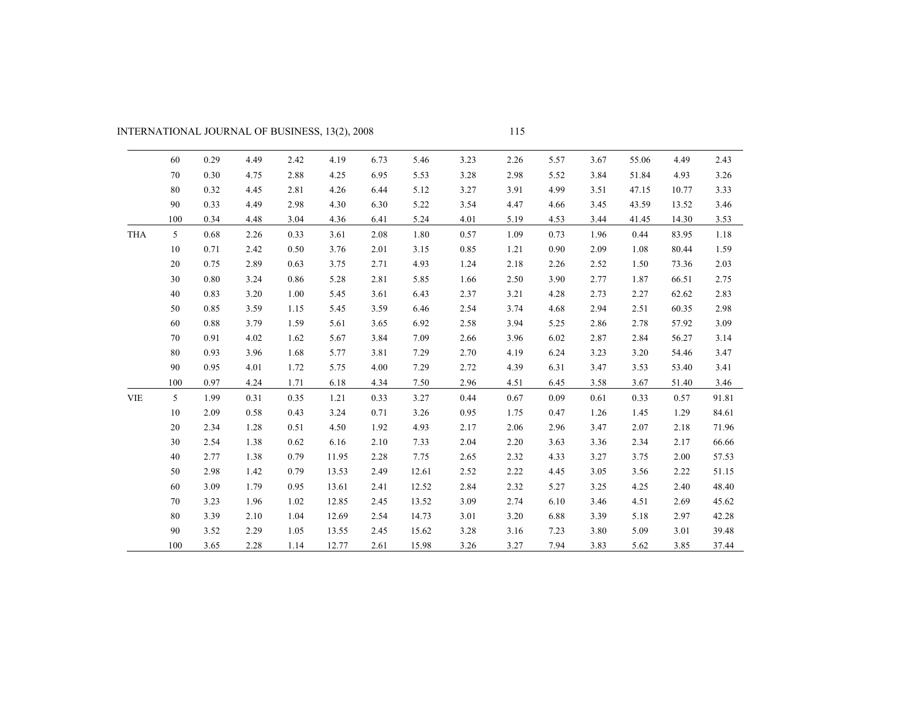# INTERNATIONAL JOURNAL OF BUSINESS, 13(2), 2008

|            | 60             | 0.29 | 4.49 | 2.42 | 4.19  | 6.73 | 5.46  | 3.23 | 2.26 | 5.57 | 3.67 | 55.06 | 4.49  | 2.43  |
|------------|----------------|------|------|------|-------|------|-------|------|------|------|------|-------|-------|-------|
|            | 70             | 0.30 | 4.75 | 2.88 | 4.25  | 6.95 | 5.53  | 3.28 | 2.98 | 5.52 | 3.84 | 51.84 | 4.93  | 3.26  |
|            | 80             | 0.32 | 4.45 | 2.81 | 4.26  | 6.44 | 5.12  | 3.27 | 3.91 | 4.99 | 3.51 | 47.15 | 10.77 | 3.33  |
|            | 90             | 0.33 | 4.49 | 2.98 | 4.30  | 6.30 | 5.22  | 3.54 | 4.47 | 4.66 | 3.45 | 43.59 | 13.52 | 3.46  |
|            | 100            | 0.34 | 4.48 | 3.04 | 4.36  | 6.41 | 5.24  | 4.01 | 5.19 | 4.53 | 3.44 | 41.45 | 14.30 | 3.53  |
| <b>THA</b> | 5              | 0.68 | 2.26 | 0.33 | 3.61  | 2.08 | 1.80  | 0.57 | 1.09 | 0.73 | 1.96 | 0.44  | 83.95 | 1.18  |
|            | 10             | 0.71 | 2.42 | 0.50 | 3.76  | 2.01 | 3.15  | 0.85 | 1.21 | 0.90 | 2.09 | 1.08  | 80.44 | 1.59  |
|            | 20             | 0.75 | 2.89 | 0.63 | 3.75  | 2.71 | 4.93  | 1.24 | 2.18 | 2.26 | 2.52 | 1.50  | 73.36 | 2.03  |
|            | 30             | 0.80 | 3.24 | 0.86 | 5.28  | 2.81 | 5.85  | 1.66 | 2.50 | 3.90 | 2.77 | 1.87  | 66.51 | 2.75  |
|            | 40             | 0.83 | 3.20 | 1.00 | 5.45  | 3.61 | 6.43  | 2.37 | 3.21 | 4.28 | 2.73 | 2.27  | 62.62 | 2.83  |
|            | 50             | 0.85 | 3.59 | 1.15 | 5.45  | 3.59 | 6.46  | 2.54 | 3.74 | 4.68 | 2.94 | 2.51  | 60.35 | 2.98  |
|            | 60             | 0.88 | 3.79 | 1.59 | 5.61  | 3.65 | 6.92  | 2.58 | 3.94 | 5.25 | 2.86 | 2.78  | 57.92 | 3.09  |
|            | 70             | 0.91 | 4.02 | 1.62 | 5.67  | 3.84 | 7.09  | 2.66 | 3.96 | 6.02 | 2.87 | 2.84  | 56.27 | 3.14  |
|            | 80             | 0.93 | 3.96 | 1.68 | 5.77  | 3.81 | 7.29  | 2.70 | 4.19 | 6.24 | 3.23 | 3.20  | 54.46 | 3.47  |
|            | 90             | 0.95 | 4.01 | 1.72 | 5.75  | 4.00 | 7.29  | 2.72 | 4.39 | 6.31 | 3.47 | 3.53  | 53.40 | 3.41  |
|            | 100            | 0.97 | 4.24 | 1.71 | 6.18  | 4.34 | 7.50  | 2.96 | 4.51 | 6.45 | 3.58 | 3.67  | 51.40 | 3.46  |
| <b>VIE</b> | 5 <sup>5</sup> | 1.99 | 0.31 | 0.35 | 1.21  | 0.33 | 3.27  | 0.44 | 0.67 | 0.09 | 0.61 | 0.33  | 0.57  | 91.81 |
|            | 10             | 2.09 | 0.58 | 0.43 | 3.24  | 0.71 | 3.26  | 0.95 | 1.75 | 0.47 | 1.26 | 1.45  | 1.29  | 84.61 |
|            | 20             | 2.34 | 1.28 | 0.51 | 4.50  | 1.92 | 4.93  | 2.17 | 2.06 | 2.96 | 3.47 | 2.07  | 2.18  | 71.96 |
|            | 30             | 2.54 | 1.38 | 0.62 | 6.16  | 2.10 | 7.33  | 2.04 | 2.20 | 3.63 | 3.36 | 2.34  | 2.17  | 66.66 |
|            | 40             | 2.77 | 1.38 | 0.79 | 11.95 | 2.28 | 7.75  | 2.65 | 2.32 | 4.33 | 3.27 | 3.75  | 2.00  | 57.53 |
|            | 50             | 2.98 | 1.42 | 0.79 | 13.53 | 2.49 | 12.61 | 2.52 | 2.22 | 4.45 | 3.05 | 3.56  | 2.22  | 51.15 |
|            | 60             | 3.09 | 1.79 | 0.95 | 13.61 | 2.41 | 12.52 | 2.84 | 2.32 | 5.27 | 3.25 | 4.25  | 2.40  | 48.40 |
|            | 70             | 3.23 | 1.96 | 1.02 | 12.85 | 2.45 | 13.52 | 3.09 | 2.74 | 6.10 | 3.46 | 4.51  | 2.69  | 45.62 |
|            | 80             | 3.39 | 2.10 | 1.04 | 12.69 | 2.54 | 14.73 | 3.01 | 3.20 | 6.88 | 3.39 | 5.18  | 2.97  | 42.28 |
|            | 90             | 3.52 | 2.29 | 1.05 | 13.55 | 2.45 | 15.62 | 3.28 | 3.16 | 7.23 | 3.80 | 5.09  | 3.01  | 39.48 |
|            | 100            | 3.65 | 2.28 | 1.14 | 12.77 | 2.61 | 15.98 | 3.26 | 3.27 | 7.94 | 3.83 | 5.62  | 3.85  | 37.44 |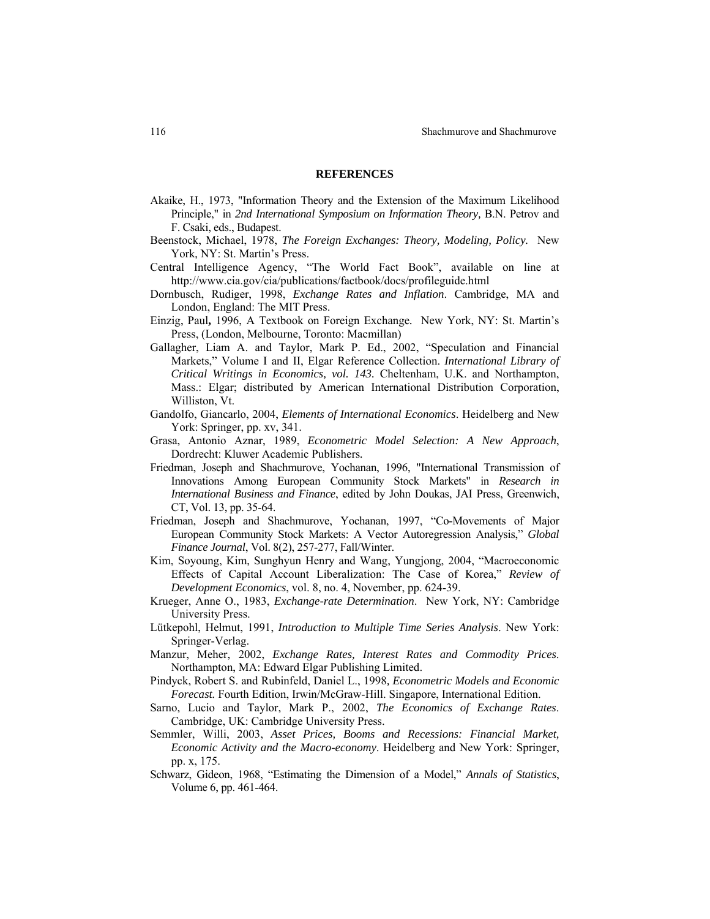#### **REFERENCES**

- Akaike, H., 1973, "Information Theory and the Extension of the Maximum Likelihood Principle," in *2nd International Symposium on Information Theory,* B.N. Petrov and F. Csaki, eds., Budapest.
- Beenstock, Michael, 1978, *The Foreign Exchanges: Theory, Modeling, Policy.* New York, NY: St. Martin's Press.
- Central Intelligence Agency, "The World Fact Book", available on line at <http://www.cia.gov/cia/publications/factbook/docs/profileguide.html>
- Dornbusch, Rudiger, 1998, *Exchange Rates and Inflation*. Cambridge, MA and London, England: The MIT Press.
- Einzig, Paul**,** 1996, A Textbook on Foreign Exchange*.* New York, NY: St. Martin's Press, (London, Melbourne, Toronto: Macmillan)
- Gallagher, Liam A. and Taylor, Mark P. Ed., 2002, "Speculation and Financial Markets," Volume I and II, Elgar Reference Collection. *International Library of Critical Writings in Economics, vol. 143.* Cheltenham, U.K. and Northampton, Mass.: Elgar; distributed by American International Distribution Corporation, Williston, Vt.
- Gandolfo, Giancarlo, 2004, *Elements of International Economics*. Heidelberg and New York: Springer, pp. xv, 341.
- Grasa, Antonio Aznar, 1989, *Econometric Model Selection: A New Approach*, Dordrecht: Kluwer Academic Publishers*.*
- Friedman, Joseph and Shachmurove, Yochanan, 1996, "International Transmission of Innovations Among European Community Stock Markets" in *Research in International Business and Finance*, edited by John Doukas, JAI Press, Greenwich, CT, Vol. 13, pp. 35-64.
- Friedman, Joseph and Shachmurove, Yochanan, 1997, "Co-Movements of Major European Community Stock Markets: A Vector Autoregression Analysis," *Global Finance Journal*, Vol. 8(2), 257-277, Fall/Winter.
- Kim, Soyoung, Kim, Sunghyun Henry and Wang, Yungjong, 2004, "Macroeconomic Effects of Capital Account Liberalization: The Case of Korea," *Review of Development Economics*, vol. 8, no. 4, November, pp. 624-39.
- Krueger, Anne O., 1983, *Exchange-rate Determination*.New York, NY: Cambridge University Press.
- Lütkepohl, Helmut, 1991, *Introduction to Multiple Time Series Analysis*. New York: Springer-Verlag.
- Manzur, Meher, 2002, *Exchange Rates, Interest Rates and Commodity Prices*. Northampton, MA: Edward Elgar Publishing Limited.
- Pindyck, Robert S. and Rubinfeld, Daniel L., 1998*, Econometric Models and Economic Forecast.* Fourth Edition, Irwin/McGraw-Hill. Singapore, International Edition.
- Sarno, Lucio and Taylor, Mark P., 2002, *The Economics of Exchange Rates*. Cambridge, UK: Cambridge University Press.
- Semmler, Willi, 2003, *Asset Prices, Booms and Recessions: Financial Market, Economic Activity and the Macro-economy*. Heidelberg and New York: Springer, pp. x, 175.
- Schwarz, Gideon, 1968, "Estimating the Dimension of a Model," *Annals of Statistics*, Volume 6, pp. 461-464.